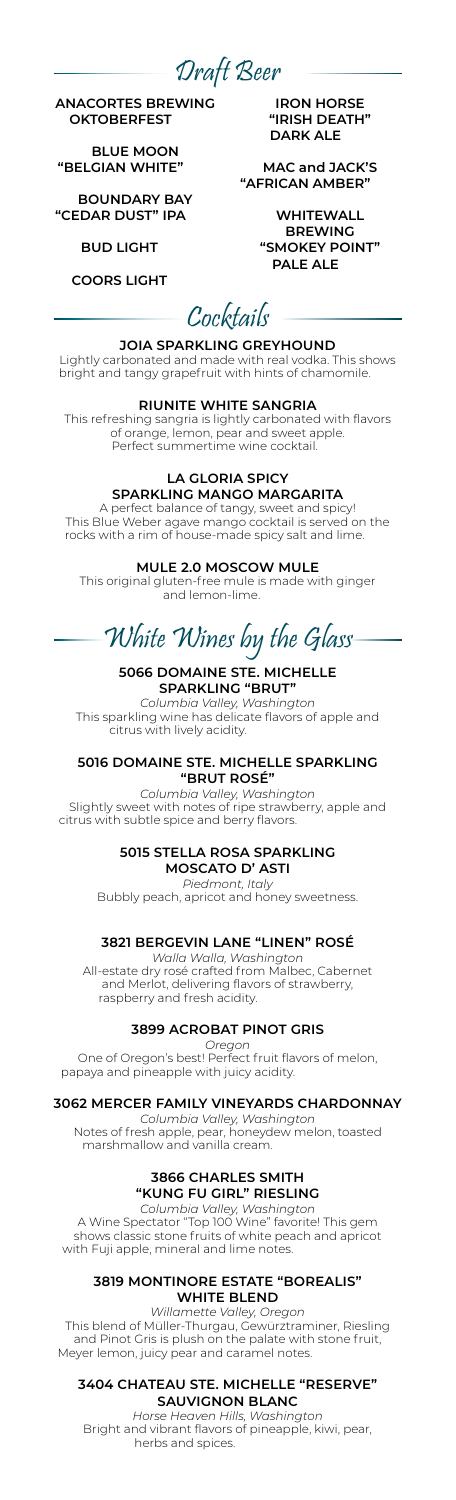Draft Beer

**ANACORTES BREWING OKTOBERFEST** 6.75

**BLUE MOON "BELGIAN WHITE"** 6.75

**BOUNDARY BAY "CEDAR DUST" IPA** 6.75

### **BUD LIGHT**

**COORS LIGHT** 6.00

**IRON HORSE "IRISH DEATH" DARK ALE** 

**MAC and JACK'S "AFRICAN AMBER"** 6.75

> **WHITEWALL BREWING "SMOKEY POINT" PALE ALE**

# Cocktails

**JOIA SPARKLING GREYHOUND** Lightly carbonated and made with real vodka. This shows bright and tangy grapefruit with hints of chamomile.

#### **RIUNITE WHITE SANGRIA**

This refreshing sangria is lightly carbonated with flavors of orange, lemon, pear and sweet apple. Perfect summertime wine cocktail.

# **LA GLORIA SPICY**

**SPARKLING MANGO MARGARITA** A perfect balance of tangy, sweet and spicy! This Blue Weber agave mango cocktail is served on the rocks with a rim of house-made spicy salt and lime.

# **MULE 2.0 MOSCOW MULE**

This original gluten-free mule is made with ginger and lemon-lime.

# White Wines by the Glass

### **5066 DOMAINE STE. MICHELLE SPARKLING "BRUT**

*Columbia Valley, Washington* This sparkling wine has delicate flavors of apple and citrus with lively acidity.

#### **5016 DOMAINE STE. MICHELLE SPARKLING "BRUT ROSÉ"**

*Columbia Valley, Washington* Slightly sweet with notes of ripe strawberry, apple and citrus with subtle spice and berry flavors.

#### **5015 STELLA ROSA SPARKLING MOSCATO D' ASTI**

*Piedmont, Italy* Bubbly peach, apricot and honey sweetness.

# **3821 BERGEVIN LANE "LINEN" ROSÉ**

*Walla Walla, Washington* All-estate dry rosé crafted from Malbec, Cabernet and Merlot, delivering flavors of strawberry, raspberry and fresh acidity.

# **3899 ACROBAT PINOT GRIS**

*Oregon*

One of Oregon's best! Perfect fruit flavors of melon, papaya and pineapple with juicy acidity.

#### **3062 MERCER FAMILY VINEYARDS CHARDONNAY**

*Columbia Valley, Washington* Notes of fresh apple, pear, honeydew melon, toasted marshmallow and vanilla cream.

# **3866 CHARLES SMITH "KUNG FU GIRL" RIESLING**

*Columbia Valley, Washington* A Wine Spectator "Top 100 Wine" favorite! This gem shows classic stone fruits of white peach and apricot with Fuji apple, mineral and lime notes.

#### **3819 MONTINORE ESTATE "BOREALIS" WHITE BLEND**

*Willamette Valley, Oregon* This blend of Müller-Thurgau, Gewürztraminer, Riesling and Pinot Gris is plush on the palate with stone fruit, Meyer lemon, juicy pear and caramel notes.

#### **3404 CHATEAU STE. MICHELLE "RESERVE" SAUVIGNON BLANC**

*Horse Heaven Hills, Washington* Bright and vibrant flavors of pineapple, kiwi, pear, herbs and spices.